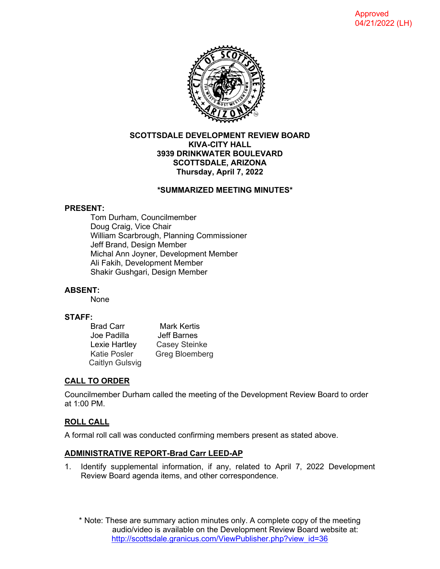

#### **SCOTTSDALE DEVELOPMENT REVIEW BOARD KIVA-CITY HALL 3939 DRINKWATER BOULEVARD SCOTTSDALE, ARIZONA Thursday, April 7, 2022**

# **\*SUMMARIZED MEETING MINUTES\***

#### **PRESENT:**

Tom Durham, Councilmember Doug Craig, Vice Chair William Scarbrough, Planning Commissioner Jeff Brand, Design Member Michal Ann Joyner, Development Member Ali Fakih, Development Member Shakir Gushgari, Design Member

# **ABSENT:**

None

#### **STAFF:**

| <b>Brad Carr</b> | Mark Kertis          |
|------------------|----------------------|
| Joe Padilla      | <b>Jeff Barnes</b>   |
| Lexie Hartley    | <b>Casey Steinke</b> |
| Katie Posler     | Greg Bloemberg       |
| Caitlyn Gulsvig  |                      |

# **CALL TO ORDER**

Councilmember Durham called the meeting of the Development Review Board to order at 1:00 PM.

# **ROLL CALL**

A formal roll call was conducted confirming members present as stated above.

# **ADMINISTRATIVE REPORT-Brad Carr LEED-AP**

1. Identify supplemental information, if any, related to April 7, 2022 Development Review Board agenda items, and other correspondence.

\* Note: These are summary action minutes only. A complete copy of the meeting audio/video is available on the Development Review Board website at: [http://scottsdale.granicus.com/ViewPublisher.php?view\\_id=36](http://scottsdale.granicus.com/ViewPublisher.php?view_id=36)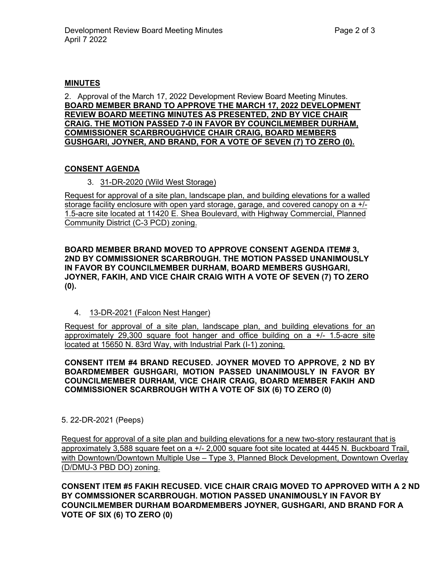#### **MINUTES**

2. Approval of the March 17, 2022 Development Review Board Meeting Minutes. **BOARD MEMBER BRAND TO APPROVE THE MARCH 17, 2022 DEVELOPMENT REVIEW BOARD MEETING MINUTES AS PRESENTED, 2ND BY VICE CHAIR CRAIG. THE MOTION PASSED 7-0 IN FAVOR BY COUNCILMEMBER DURHAM, COMMISSIONER SCARBROUGHVICE CHAIR CRAIG, BOARD MEMBERS GUSHGARI, JOYNER, AND BRAND, FOR A VOTE OF SEVEN (7) TO ZERO (0).**

# **CONSENT AGENDA**

3. 31-DR-2020 (Wild West Storage)

Request for approval of a site plan, landscape plan, and building elevations for a walled storage facility enclosure with open yard storage, garage, and covered canopy on a +/- 1.5-acre site located at 11420 E. Shea Boulevard, with Highway Commercial, Planned Community District (C-3 PCD) zoning.

**BOARD MEMBER BRAND MOVED TO APPROVE CONSENT AGENDA ITEM# 3, 2ND BY COMMISSIONER SCARBROUGH. THE MOTION PASSED UNANIMOUSLY IN FAVOR BY COUNCILMEMBER DURHAM, BOARD MEMBERS GUSHGARI, JOYNER, FAKIH, AND VICE CHAIR CRAIG WITH A VOTE OF SEVEN (7) TO ZERO (0).**

4. 13-DR-2021 (Falcon Nest Hanger)

Request for approval of a site plan, landscape plan, and building elevations for an approximately 29,300 square foot hanger and office building on a +/- 1.5-acre site located at 15650 N. 83rd Way, with Industrial Park (I-1) zoning.

**CONSENT ITEM #4 BRAND RECUSED. JOYNER MOVED TO APPROVE, 2 ND BY BOARDMEMBER GUSHGARI, MOTION PASSED UNANIMOUSLY IN FAVOR BY COUNCILMEMBER DURHAM, VICE CHAIR CRAIG, BOARD MEMBER FAKIH AND COMMISSIONER SCARBROUGH WITH A VOTE OF SIX (6) TO ZERO (0)** 

5. 22-DR-2021 (Peeps)

Request for approval of a site plan and building elevations for a new two-story restaurant that is approximately 3,588 square feet on a +/- 2,000 square foot site located at 4445 N. Buckboard Trail, with Downtown/Downtown Multiple Use – Type 3, Planned Block Development, Downtown Overlay (D/DMU-3 PBD DO) zoning.

**CONSENT ITEM #5 FAKIH RECUSED. VICE CHAIR CRAIG MOVED TO APPROVED WITH A 2 ND BY COMMSSIONER SCARBROUGH. MOTION PASSED UNANIMOUSLY IN FAVOR BY COUNCILMEMBER DURHAM BOARDMEMBERS JOYNER, GUSHGARI, AND BRAND FOR A VOTE OF SIX (6) TO ZERO (0)**